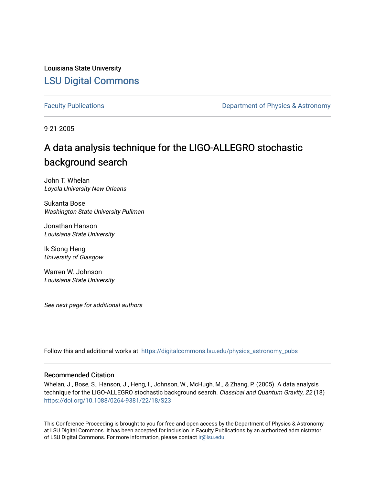Louisiana State University [LSU Digital Commons](https://digitalcommons.lsu.edu/)

[Faculty Publications](https://digitalcommons.lsu.edu/physics_astronomy_pubs) **Exercise 2 and Table 2 and Table 2 and Table 2 and Table 2 and Table 2 and Table 2 and Table 2 and Table 2 and Table 2 and Table 2 and Table 2 and Table 2 and Table 2 and Table 2 and Table 2 and Table** 

9-21-2005

# A data analysis technique for the LIGO-ALLEGRO stochastic background search

John T. Whelan Loyola University New Orleans

Sukanta Bose Washington State University Pullman

Jonathan Hanson Louisiana State University

Ik Siong Heng University of Glasgow

Warren W. Johnson Louisiana State University

See next page for additional authors

Follow this and additional works at: [https://digitalcommons.lsu.edu/physics\\_astronomy\\_pubs](https://digitalcommons.lsu.edu/physics_astronomy_pubs?utm_source=digitalcommons.lsu.edu%2Fphysics_astronomy_pubs%2F2540&utm_medium=PDF&utm_campaign=PDFCoverPages) 

### Recommended Citation

Whelan, J., Bose, S., Hanson, J., Heng, I., Johnson, W., McHugh, M., & Zhang, P. (2005). A data analysis technique for the LIGO-ALLEGRO stochastic background search. Classical and Quantum Gravity, 22 (18) <https://doi.org/10.1088/0264-9381/22/18/S23>

This Conference Proceeding is brought to you for free and open access by the Department of Physics & Astronomy at LSU Digital Commons. It has been accepted for inclusion in Faculty Publications by an authorized administrator of LSU Digital Commons. For more information, please contact [ir@lsu.edu](mailto:ir@lsu.edu).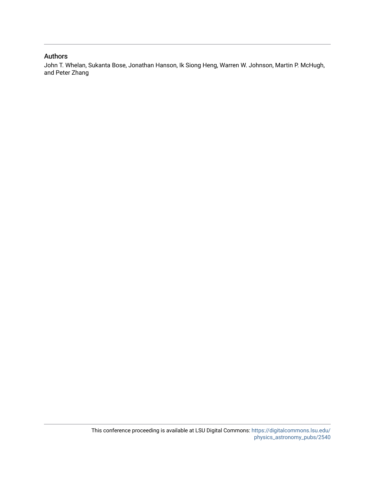## Authors

John T. Whelan, Sukanta Bose, Jonathan Hanson, Ik Siong Heng, Warren W. Johnson, Martin P. McHugh, and Peter Zhang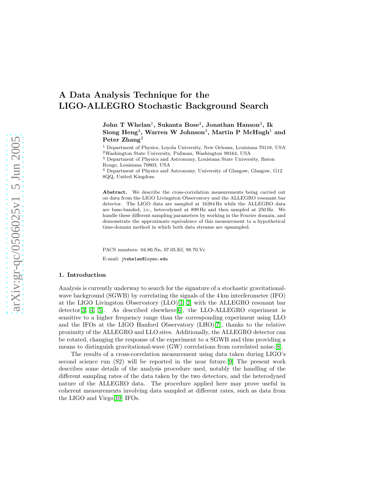# A Data Analysis Technique for the LIGO-ALLEGRO Stochastic Background Search

 ${\rm John~T~Whelan^1,~Sukanta~Bose^2,~Jonathan~Hanson^3,~Ik}$  $\mathrm{Siong\; Heng^4, \; Warren\; W\; Johnson^3, \; Martin\; P\; McHugh^1\; and}$ Peter Zhang<sup>3</sup>

<sup>1</sup> Department of Physics, Loyola University, New Orleans, Louisiana 70118, USA

<sup>2</sup>Washington State University, Pullman, Washington 99164, USA

<sup>3</sup> Department of Physics and Astronomy, Louisiana State University, Baton

<sup>4</sup> Department of Physics and Astronomy, University of Glasgow, Glasgow, G12 8QQ, United Kingdom

Abstract. We describe the cross-correlation measurements being carried out on data from the LIGO Livingston Observatory and the ALLEGRO resonant bar detector. The LIGO data are sampled at 16384 Hz while the ALLEGRO data are base-banded, i.e., heterodyned at 899 Hz and then sampled at 250 Hz. We handle these different sampling parameters by working in the Fourier domain, and demonstrate the approximate equivalence of this measurement to a hypothetical time-domain method in which both data streams are upsampled.

PACS numbers: 04.80.Nn, 07.05.Kf, 98.70.Vc E-mail: jtwhelan@loyno.edu

#### 1. Introduction

Analysis is currently underway to search for the signature of a stochastic gravitationalwave background (SGWB) by correlating the signals of the 4 km interferometer (IFO) at the LIGO Livingston Observatory (LLO)[\[1,](#page-11-0) [2\]](#page-11-1) with the ALLEGRO resonant bar detector  $[3, 4, 5]$  $[3, 4, 5]$  $[3, 4, 5]$ . As described elsewhere  $[6]$ , the LLO-ALLEGRO experiment is sensitive to a higher frequency range than the corresponding experiment using LLO and the IFOs at the LIGO Hanford Observatory (LHO)[\[7\]](#page-11-6), thanks to the relative proximity of the ALLEGRO and LLO sites. Additionally, the ALLEGRO detector can be rotated, changing the response of the experiment to a SGWB and thus providing a means to distinguish gravitational-wave (GW) correlations from correlated noise.[\[8\]](#page-11-7).

The results of a cross-correlation measurement using data taken during LIGO's second science run (S2) will be reported in the near future.[\[9\]](#page-11-8) The present work describes some details of the analysis procedure used, notably the handling of the different sampling rates of the data taken by the two detectors, and the heterodyned nature of the ALLEGRO data. The procedure applied here may prove useful in coherent measurements involving data sampled at different rates, such as data from the LIGO and Virgo[\[10\]](#page-11-9) IFOs.

Rouge, Louisiana 70803, USA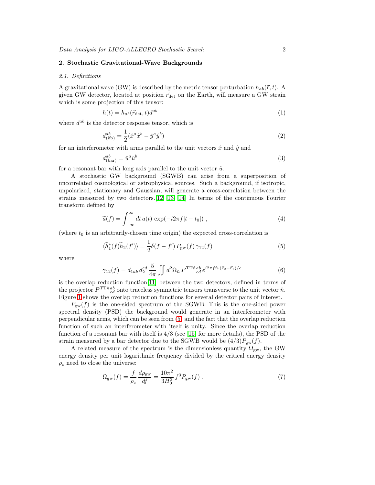#### 2. Stochastic Gravitational-Wave Backgrounds

#### 2.1. Definitions

A gravitational wave (GW) is described by the metric tensor perturbation  $h_{ab}(\vec{r}, t)$ . A given GW detector, located at position  $\vec{r}_{\text{det}}$  on the Earth, will measure a GW strain which is some projection of this tensor:

$$
h(t) = h_{ab}(\vec{r}_{\text{det}}, t)d^{ab} \tag{1}
$$

where  $d^{ab}$  is the detector response tensor, which is

$$
d_{\text{(ifo)}}^{ab} = \frac{1}{2} (\hat{x}^a \hat{x}^b - \hat{y}^a \hat{y}^b)
$$
\n(2)

for an interferometer with arms parallel to the unit vectors  $\hat{x}$  and  $\hat{y}$  and

$$
d_{\text{(bar)}}^{ab} = \hat{u}^a \hat{u}^b \tag{3}
$$

for a resonant bar with long axis parallel to the unit vector  $\hat{u}$ .

A stochastic GW background (SGWB) can arise from a superposition of uncorrelated cosmological or astrophysical sources. Such a background, if isotropic, unpolarized, stationary and Gaussian, will generate a cross-correlation between the strains measured by two detectors.[\[12,](#page-11-10) [13,](#page-11-11) [14\]](#page-11-12) In terms of the continuous Fourier transform defined by

$$
\widetilde{a}(f) = \int_{-\infty}^{\infty} dt \, a(t) \, \exp(-i2\pi f[t - t_0]) \;, \tag{4}
$$

<span id="page-3-1"></span><span id="page-3-0"></span>(where  $t_0$  is an arbitrarily-chosen time origin) the expected cross-correlation is

$$
\langle \widetilde{h}_1^*(f)\widetilde{h}_2(f')\rangle = \frac{1}{2}\delta(f - f')P_{\text{gw}}(f)\,\gamma_{12}(f) \tag{5}
$$

where

$$
\gamma_{12}(f) = d_{1ab} d_2^{cd} \frac{5}{4\pi} \iint d^2\Omega_{\hat{n}} P^{\text{TT}\hat{n}ab} e^{i2\pi f \hat{n} \cdot (\vec{r}_2 - \vec{r}_1)/c}
$$
(6)

is the overlap reduction function[\[11\]](#page-11-13) between the two detectors, defined in terms of the projector  $P^{\text{TT}\hat{n}ab}_{cd}$  onto traceless symmetric tensors transverse to the unit vector  $\hat{n}$ . Figure [1](#page-4-0) shows the overlap reduction functions for several detector pairs of interest.

 $P_{\text{gw}}(f)$  is the one-sided spectrum of the SGWB. This is the one-sided power spectral density (PSD) the background would generate in an interferometer with perpendicular arms, which can be seen from [\(5\)](#page-3-0) and the fact that the overlap reduction function of such an interferometer with itself is unity. Since the overlap reduction function of a resonant bar with itself is  $4/3$  (see [\[15\]](#page-11-14) for more details), the PSD of the strain measured by a bar detector due to the SGWB would be  $(4/3)P_{gw}(f)$ .

A related measure of the spectrum is the dimensionless quantity  $\Omega_{\rm gw}$ , the GW energy density per unit logarithmic frequency divided by the critical energy density  $\rho_c$  need to close the universe:

$$
\Omega_{\rm gw}(f) = \frac{f}{\rho_{\rm c}} \frac{d\rho_{\rm gw}}{df} = \frac{10\pi^2}{3H_0^2} f^3 P_{\rm gw}(f) \; . \tag{7}
$$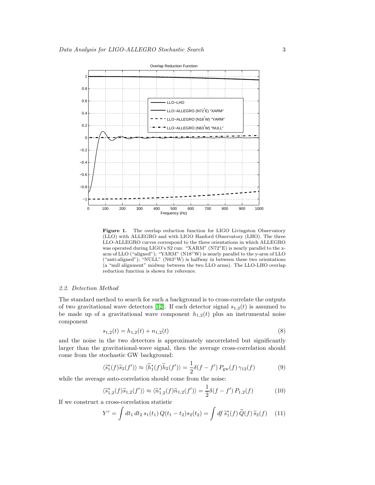

<span id="page-4-0"></span>Figure 1. The overlap reduction function for LIGO Livingston Observatory (LLO) with ALLEGRO and with LIGO Hanford Observatory (LHO). The three LLO-ALLEGRO curves correspond to the three orientations in which ALLEGRO was operated during LIGO's S2 run: "XARM" (N72°E) is nearly parallel to the xarm of LLO ("aligned"); "YARM" (N18◦W) is nearly parallel to the y-arm of LLO ("anti-aligned"); "NULL" (N63 $^{\circ}$ W) is halfway in between these two orientations (a "null alignment" midway between the two LLO arms). The LLO-LHO overlap reduction function is shown for reference.

#### 2.2. Detection Method

The standard method to search for such a background is to cross-correlate the outputs of two gravitational wave detectors [\[12\]](#page-11-10). If each detector signal  $s_{1,2}(t)$  is assumed to be made up of a gravitational wave component  $h_{1,2}(t)$  plus an instrumental noise component

$$
s_{1,2}(t) = h_{1,2}(t) + n_{1,2}(t)
$$
\n<sup>(8)</sup>

<span id="page-4-2"></span>and the noise in the two detectors is approximately uncorrelated but significantly larger than the gravitational-wave signal, then the average cross-correlation should come from the stochastic GW background:

$$
\langle \tilde{s}_1^*(f)\tilde{s}_2(f')\rangle \approx \langle \tilde{h}_1^*(f)\tilde{h}_2(f')\rangle = \frac{1}{2}\delta(f - f')P_{\text{gw}}(f)\,\gamma_{12}(f) \tag{9}
$$

<span id="page-4-3"></span>while the average auto-correlation should come from the noise:

$$
\langle \tilde{s}_{1,2}^*(f)\tilde{s}_{1,2}(f')\rangle \approx \langle \tilde{n}_{1,2}^*(f)\tilde{n}_{1,2}(f')\rangle = \frac{1}{2}\delta(f - f')P_{1,2}(f)
$$
 (10)

<span id="page-4-1"></span>If we construct a cross-correlation statistic

$$
Y^{c} = \int dt_1 dt_2 s_1(t_1) Q(t_1 - t_2) s_2(t_2) = \int df \, \widetilde{s}_1^*(f) \, \widetilde{Q}(f) \, \widetilde{s}_2(f) \tag{11}
$$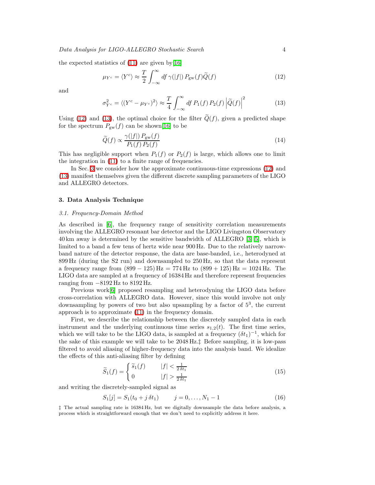<span id="page-5-0"></span>the expected statistics of  $(11)$  are given by [\[16\]](#page-11-15)

$$
\mu_{Y^c} = \langle Y^c \rangle \approx \frac{T}{2} \int_{-\infty}^{\infty} df \,\gamma(|f|) \, P_{\rm gw}(f) \widetilde{Q}(f) \tag{12}
$$

<span id="page-5-1"></span>and

$$
\sigma_{Y^c}^2 = \langle (Y^c - \mu_{Y^c})^2 \rangle \approx \frac{T}{4} \int_{-\infty}^{\infty} df P_1(f) P_2(f) |\tilde{Q}(f)|^2 \tag{13}
$$

<span id="page-5-3"></span>Using [\(12\)](#page-5-0) and [\(13\)](#page-5-1), the optimal choice for the filter  $\widetilde{Q}(f)$ , given a predicted shape for the spectrum  $P_{gw}(f)$  can be shown[\[16\]](#page-11-15) to be

$$
\widetilde{Q}(f) \propto \frac{\gamma(|f|) P_{\text{gw}}(f)}{P_1(f) P_2(f)}\tag{14}
$$

This has negligible support when  $P_1(f)$  or  $P_2(f)$  is large, which allows one to limit the integration in [\(11\)](#page-4-1) to a finite range of frequencies.

In Sec. [3](#page-5-2) we consider how the approximate continuous-time expressions [\(12\)](#page-5-0) and [\(13\)](#page-5-1) manifest themselves given the different discrete sampling parameters of the LIGO and ALLEGRO detectors.

#### <span id="page-5-2"></span>3. Data Analysis Technique

#### 3.1. Frequency-Domain Method

As described in [\[6\]](#page-11-5), the frequency range of sensitivity correlation measurements involving the ALLEGRO resonant bar detector and the LIGO Livingston Observatory 40 km away is determined by the sensitive bandwidth of ALLEGRO [\[3,](#page-11-2) [5\]](#page-11-4), which is limited to a band a few tens of hertz wide near 900 Hz. Due to the relatively narrowband nature of the detector response, the data are base-banded, i.e., heterodyned at 899 Hz (during the S2 run) and downsampled to 250 Hz, so that the data represent a frequency range from  $(899 - 125)$  Hz = 774 Hz to  $(899 + 125)$  Hz = 1024 Hz. The LIGO data are sampled at a frequency of 16384 Hz and therefore represent frequencies ranging from −8192 Hz to 8192 Hz.

Previous work[\[6\]](#page-11-5) proposed resampling and heterodyning the LIGO data before cross-correlation with ALLEGRO data. However, since this would involve not only downsampling by powers of two but also upsampling by a factor of  $5<sup>3</sup>$ , the current approach is to approximate [\(11\)](#page-4-1) in the frequency domain.

First, we describe the relationship between the discretely sampled data in each instrument and the underlying continuous time series  $s_{1,2}(t)$ . The first time series, which we will take to be the LIGO data, is sampled at a frequency  $(\delta t_1)^{-1}$ , which for the sake of this example we will take to be 2048 Hz.‡ Before sampling, it is low-pass filtered to avoid aliasing of higher-frequency data into the analysis band. We idealize the effects of this anti-aliasing filter by defining

$$
\widetilde{S}_1(f) = \begin{cases} \widetilde{s}_1(f) & |f| < \frac{1}{2\,\delta t_1} \\ 0 & |f| > \frac{1}{2\,\delta t_1} \end{cases} \tag{15}
$$

and writing the discretely-sampled signal as

$$
S_1[j] = S_1(t_0 + j \,\delta t_1) \qquad j = 0, \dots, N_1 - 1 \tag{16}
$$

‡ The actual sampling rate is 16384 Hz, but we digitally downsample the data before analysis, a process which is straightforward enough that we don't need to explicitly address it here.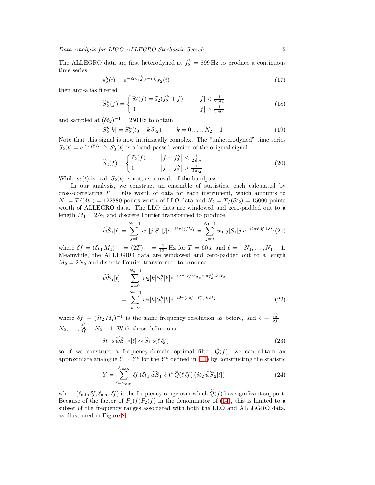The ALLEGRO data are first heterodyned at  $f_2^h = 899$  Hz to produce a continuous time series

$$
s_2^h(t) = e^{-i2\pi f_2^h(t - t_0)} s_2(t)
$$
\n(17)

then anti-alias filtered

$$
\widetilde{S}_2^h(f) = \begin{cases}\n\widetilde{s}_2^h(f) = \widetilde{s}_2(f_2^h + f) & |f| < \frac{1}{2\,\delta t_2} \\
0 & |f| > \frac{1}{2\,\delta t_2}\n\end{cases}\n\tag{18}
$$

and sampled at  $(\delta t_2)^{-1} = 250 \,\text{Hz}$  to obtain

$$
S_2^h[k] = S_2^h(t_0 + k \,\delta t_2) \qquad k = 0, \dots, N_2 - 1 \tag{19}
$$

Note that this signal is now intrinsically complex. The "unheterodyned" time series  $S_2(t) = e^{i2\pi f_2^h(t-t_0)} S_2^h(t)$  is a band-passed version of the original signal

$$
\widetilde{S}_2(f) = \begin{cases}\n\widetilde{s}_2(f) & |f - f_2^h| < \frac{1}{2\delta t_2} \\
0 & |f - f_2^h| > \frac{1}{2\delta t_2}\n\end{cases}\n\tag{20}
$$

While  $s_2(t)$  is real,  $S_2(t)$  is not, as a result of the bandpass.

In our analysis, we construct an ensemble of statistics, each calculated by cross-correlating  $T = 60$  s worth of data for each instrument, which amounts to  $N_1 = T/(\delta t_1) = 122880$  points worth of LLO data and  $N_2 = T/(\delta t_2) = 15000$  points worth of ALLEGRO data. The LLO data are windowed and zero-padded out to a length  $M_1 = 2N_1$  and discrete Fourier transformed to produce

$$
\widehat{wS}_1[\ell] = \sum_{j=0}^{N_1-1} w_1[j] S_1[j] e^{-i2\pi \ell j/M_1} = \sum_{j=0}^{N_1-1} w_1[j] S_1[j] e^{-i2\pi \ell \delta f j \delta t_1}(21)
$$

where  $\delta f = (\delta t_1 M_1)^{-1} = (2T)^{-1} = \frac{1}{120}$  Hz for  $T = 60$  s, and  $\ell = -N_1, \ldots, N_1 - 1$ . Meanwhile, the ALLEGRO data are windowed and zero-padded out to a length  $M_2 = 2N_2$  and discrete Fourier transformed to produce

$$
\widehat{wS}_2[\ell] = \sum_{k=0}^{N_2-1} w_2[k] S_2^h[k] e^{-i2\pi\ell k/M_2} e^{i2\pi f_2^h k \delta t_2}
$$

$$
= \sum_{k=0}^{N_2-1} w_2[k] S_2^h[k] e^{-i2\pi(\ell \delta f - f_2^h) k \delta t_2}
$$
(22)

where  $\delta f = (\delta t_2 M_2)^{-1}$  is the same frequency resolution as before, and  $\ell = \frac{f_2^h}{\delta f}$  $N_2, \ldots, \frac{f_2^h}{\delta f} + N_2 - 1$ . With these definitions,

$$
\delta t_{1,2} \,\widehat{wS}_{1,2}[\ell] \sim \widetilde{S}_{1,2}(\ell \,\delta f) \tag{23}
$$

<span id="page-6-0"></span>so if we construct a frequency-domain optimal filter  $\tilde{Q}(f)$ , we can obtain an approximate analogue  $Y \sim Y^c$  for the  $Y^c$  defined in [\(11\)](#page-4-1) by constructing the statistic

$$
Y = \sum_{\ell=\ell_{\min}}^{\ell_{\max}} \delta f \left(\delta t_1 \, \widehat{wS}_1[\ell]\right)^* \widetilde{Q}(\ell \, \delta f) \left(\delta t_2 \, \widehat{wS}_2[\ell]\right) \tag{24}
$$

where  $(\ell_{\min} \delta f, \ell_{\max} \delta f)$  is the frequency range over which  $\tilde{Q}(f)$  has significant support. Because of the factor of  $P_1(f)P_2(f)$  in the denominator of [\(14\)](#page-5-3), this is limited to a subset of the frequency ranges associated with both the LLO and ALLEGRO data, as illustrated in Figure [2.](#page-7-0)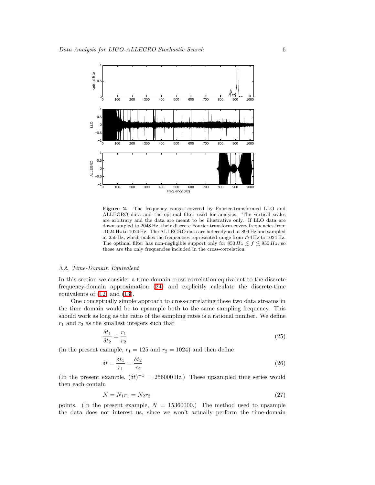

<span id="page-7-0"></span>Figure 2. The frequency ranges covered by Fourier-transformed LLO and ALLEGRO data and the optimal filter used for analysis. The vertical scales are arbitrary and the data are meant to be illustrative only. If LLO data are downsampled to 2048 Hz, their discrete Fourier transform covers frequencies from -1024 Hz to 1024 Hz. The ALLEGRO data are heterodyned at 899 Hz and sampled at 250 Hz, which makes the frequencies represented range from 774 Hz to 1024 Hz. The optimal filter has non-negligible support only for  $850 Hz \le f \le 950 Hz$ , so those are the only frequencies included in the cross-correlation.

#### 3.2. Time-Domain Equivalent

In this section we consider a time-domain cross-correlation equivalent to the discrete frequency-domain approximation [\(24\)](#page-6-0) and explicitly calculate the discrete-time equivalents of [\(12\)](#page-5-0) and [\(13\)](#page-5-1).

One conceptually simple approach to cross-correlating these two data streams in the time domain would be to upsample both to the same sampling frequency. This should work as long as the ratio of the sampling rates is a rational number. We define  $r_1$  and  $r_2$  as the smallest integers such that

$$
\frac{\delta t_1}{\delta t_2} = \frac{r_1}{r_2} \tag{25}
$$

(in the present example,  $r_1 = 125$  and  $r_2 = 1024$ ) and then define

$$
\delta t = \frac{\delta t_1}{r_1} = \frac{\delta t_2}{r_2} \tag{26}
$$

(In the present example,  $(\delta t)^{-1} = 256000 \text{ Hz}$ .) These upsampled time series would then each contain

$$
N = N_1 r_1 = N_2 r_2 \tag{27}
$$

points. (In the present example,  $N = 15360000$ .) The method used to upsample the data does not interest us, since we won't actually perform the time-domain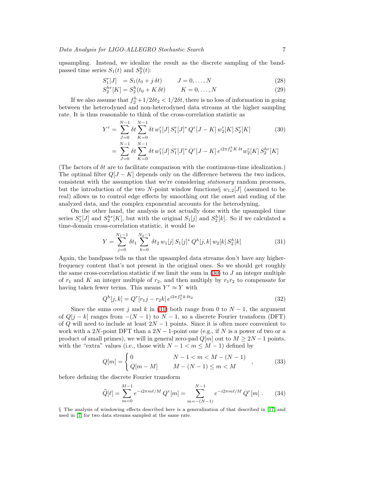upsampling. Instead, we idealize the result as the discrete sampling of the bandpassed time series  $S_1(t)$  and  $S_2^h(t)$ :

$$
S_1^r[J] = S_1(t_0 + j \,\delta t) \qquad J = 0, \dots, N \tag{28}
$$

$$
S_2^{hr}[K] = S_2^h(t_0 + K \,\delta t) \qquad K = 0, \dots, N \tag{29}
$$

<span id="page-8-0"></span>If we also assume that  $f_2^h + 1/2\delta t_2 < 1/2\delta t$ , there is no loss of information in going between the heterodyned and non-heterodyned data streams at the higher sampling rate. It is thus reasonable to think of the cross-correlation statistic as

$$
Y^r = \sum_{J=0}^{N-1} \delta t \sum_{K=0}^{N-1} \delta t w_1^r [J] S_1^r [J]^* Q^r [J - K] w_2^r [K] S_2^r [K]
$$
(30)  

$$
= \sum_{J=0}^{N-1} \delta t \sum_{K=0}^{N-1} \delta t w_1^r [J] S_1^r [J]^* Q^r [J - K] e^{i2\pi f_2^h K \delta t} w_2^r [K] S_2^{hr} [K]
$$

(The factors of  $\delta t$  are to facilitate comparison with the continuous-time idealization.) The optimal filter  $Q[J - K]$  depends only on the difference between the two indices, consistent with the assumption that we're considering stationary random processes, but the introduction of the two N-point window functions  $\{w_{1,2}[J]$  (assumed to be real) allows us to control edge effects by smoothing out the onset and ending of the analyzed data, and the complex exponential accounts for the heterodyning.

<span id="page-8-1"></span>On the other hand, the analysis is not actually done with the upsampled time series  $S_1^r[J]$  and  $S_2^{hr}[K]$ , but with the original  $S_1[j]$  and  $S_2^h[k]$ . So if we calculated a time-domain cross-correlation statistic, it would be

$$
Y = \sum_{j=0}^{N_1-1} \delta t_1 \sum_{k=0}^{N_2-1} \delta t_2 w_1[j] S_1[j]^* Q^h[j,k] w_2[k] S_2^h[k]
$$
 (31)

Again, the bandpass tells us that the upsampled data streams don't have any higherfrequency content that's not present in the original ones. So we should get roughly the same cross-correlation statistic if we limit the sum in  $(30)$  to J an integer multiple of  $r_1$  and K an integer multiple of  $r_2$ , and then multiply by  $r_1r_2$  to compensate for having taken fewer terms. This means  $Y^r \approx Y$  with

$$
Q^{h}[j,k] = Q^{r}[r_{1}j - r_{2}k] e^{i2\pi f_{2}^{h}k \delta t_{2}}
$$
\n(32)

Since the sums over j and k in [\(31\)](#page-8-1) both range from 0 to  $N-1$ , the argument of  $Q[j - k]$  ranges from  $-(N - 1)$  to  $N - 1$ , so a discrete Fourier transform (DFT) of Q will need to include at least  $2N-1$  points. Since it is often more convenient to work with a 2N-point DFT than a  $2N-1$ -point one (e.g., if N is a power of two or a product of small primes), we will in general zero-pad  $Q[m]$  out to  $M \geq 2N-1$  points, with the "extra" values (i.e., those with  $N - 1 < m \le M - 1$ ) defined by

$$
Q[m] = \begin{cases} 0 & N-1 < m < M-(N-1) \\ Q[m-M] & M-(N-1) \le m < M \end{cases}
$$
 (33)

<span id="page-8-2"></span>before defining the discrete Fourier transform

$$
\widehat{Q}[\ell] = \sum_{m=0}^{M-1} e^{-i2\pi m\ell/M} Q^r[m] = \sum_{m=-(N-1)}^{N-1} e^{-i2\pi m\ell/M} Q^r[m]. \tag{34}
$$

§ The analysis of windowing effects described here is a generalization of that described in [\[17\]](#page-11-16) and used in [\[7\]](#page-11-6) for two data streams sampled at the same rate.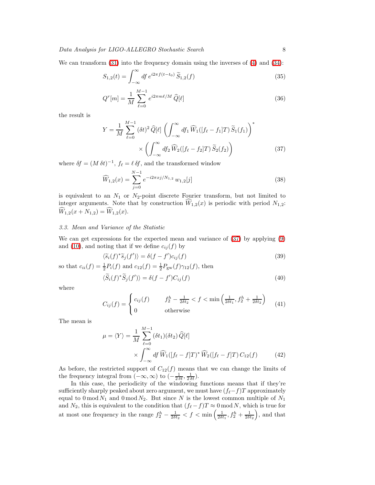We can transform  $(31)$  into the frequency domain using the inverses of  $(4)$  and  $(34)$ :

$$
S_{1,2}(t) = \int_{-\infty}^{\infty} df \, e^{i2\pi f(t-t_0)} \, \widetilde{S}_{1,2}(f) \tag{35}
$$

$$
Q^{r}[m] = \frac{1}{M} \sum_{\ell=0}^{M-1} e^{i2\pi m\ell/M} \,\widehat{Q}[\ell] \tag{36}
$$

<span id="page-9-0"></span>the result is

$$
Y = \frac{1}{M} \sum_{\ell=0}^{M-1} (\delta t)^2 \widehat{Q}[\ell] \left( \int_{-\infty}^{\infty} df_1 \widehat{W}_1([f_{\ell} - f_1]T) \widetilde{S}_1(f_1) \right)^*
$$

$$
\times \left( \int_{-\infty}^{\infty} df_2 \widehat{W}_2([f_{\ell} - f_2]T) \widetilde{S}_2(f_2) \right)
$$
(37)

<span id="page-9-2"></span>where  $\delta f = (M \,\delta t)^{-1}$ ,  $f_{\ell} = \ell \,\delta f$ , and the transformed window

$$
\widehat{W}_{1,2}(x) = \sum_{j=0}^{N-1} e^{-i2\pi x j/N_{1,2}} w_{1,2}[j]
$$
\n(38)

is equivalent to an  $N_1$  or  $N_2$ -point discrete Fourier transform, but not limited to integer arguments. Note that by construction  $\hat{W}_{1,2}(x)$  is periodic with period  $N_{1,2}$ :  $\widehat{W}_{1,2}(x+N_{1,2})=\widehat{W}_{1,2}(x).$ 

#### 3.3. Mean and Variance of the Statistic

We can get expressions for the expected mean and variance of [\(37\)](#page-9-0) by applying [\(9\)](#page-4-2) and [\(10\)](#page-4-3), and noting that if we define  $c_{ij}(f)$  by

$$
\langle \widetilde{s}_i(f)^* \widetilde{s}_j(f') \rangle = \delta(f - f') c_{ij}(f) \tag{39}
$$

so that  $c_{ii}(f) = \frac{1}{2}P_i(f)$  and  $c_{12}(f) = \frac{1}{2}P_{gw}(f)\gamma_{12}(f)$ , then

$$
\langle \widetilde{S}_i(f)^* \widetilde{S}_j(f') \rangle = \delta(f - f') C_{ij}(f) \tag{40}
$$

where

$$
C_{ij}(f) = \begin{cases} c_{ij}(f) & f_2^h - \frac{1}{2\delta t_2} < f < \min\left(\frac{1}{2\delta t_1}, f_2^h + \frac{1}{2\delta t_2}\right) \\ 0 & \text{otherwise} \end{cases}
$$
(41)

<span id="page-9-1"></span>The mean is

$$
\mu = \langle Y \rangle = \frac{1}{M} \sum_{\ell=0}^{M-1} (\delta t_1)(\delta t_2) \widehat{Q}[\ell]
$$
  
 
$$
\times \int_{-\infty}^{\infty} df \widehat{W}_1([f_{\ell} - f]T)^* \widehat{W}_2([f_{\ell} - f]T) C_{12}(f) \tag{42}
$$

As before, the restricted support of  $C_{12}(f)$  means that we can change the limits of the frequency integral from  $(-\infty, \infty)$  to  $\left(-\frac{1}{2 \delta t}, \frac{1}{2 \delta t}\right)$ .

In this case, the periodicity of the windowing functions means that if they're sufficiently sharply peaked about zero argument, we must have  $(f_{\ell}-f)T$  approximately equal to  $0 \mod N_1$  and  $0 \mod N_2$ . But since N is the lowest common multiple of  $N_1$ and  $N_2$ , this is equivalent to the condition that  $(f_{\ell} - f)T \approx 0 \mod N$ , which is true for at most one frequency in the range  $f_2^h - \frac{1}{2\delta t_2} < f < \min\left(\frac{1}{2\delta t_1}, f_2^h + \frac{1}{2\delta t_2}\right)$ , and that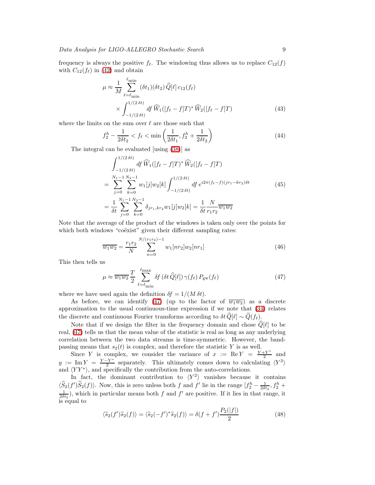frequency is always the positive  $f_{\ell}$ . The windowing thus allows us to replace  $C_{12}(f)$ with  $C_{12}(f_{\ell})$  in [\(42\)](#page-9-1) and obtain

$$
\mu \approx \frac{1}{M} \sum_{\ell=\ell_{\min}}^{\ell_{\min}} (\delta t_1)(\delta t_2) \widehat{Q}[\ell] c_{12}(f_{\ell})
$$
  
 
$$
\times \int_{-1/(2 \delta t)}^{1/(2 \delta t)} df \widehat{W}_1([f_{\ell} - f]T)^* \widehat{W}_2([f_{\ell} - f]T)
$$
(43)

where the limits on the sum over  $\ell$  are those such that

$$
f_2^h - \frac{1}{2\delta t_2} < f_\ell < \min\left(\frac{1}{2\delta t_1}, f_2^h + \frac{1}{2\delta t_2}\right) \tag{44}
$$

The integral can be evaluated [using [\(38\)](#page-9-2)] as

$$
\int_{-1/(2\delta t)}^{1/(2\delta t)} df \,\widehat{W}_1([f_\ell - f]T)^* \widehat{W}_2([f_\ell - f]T)
$$
\n
$$
= \sum_{j=0}^{N_1-1} \sum_{k=0}^{N_2-1} w_1[j]w_2[k] \int_{-1/(2\delta t)}^{1/(2\delta t)} df \, e^{i2\pi (f_\ell - f)(jr_1 - kr_2)\delta t}
$$
\n
$$
= \frac{1}{\delta t} \sum_{j=0}^{N_1-1} \sum_{k=0}^{N_2-1} \delta_{jr_1, kr_2} w_1[j]w_2[k] = \frac{1}{\delta t} \frac{N}{r_1 r_2} \overline{w_1 w_2}
$$
\n(45)

Note that the average of the product of the windows is taken only over the points for which both windows "coëxist" given their different sampling rates:

$$
\overline{w_1 w_2} = \frac{r_1 r_2}{N} \sum_{n=0}^{N/(r_1 r_2) - 1} w_1[n r_2] w_2[n r_1]
$$
\n(46)

<span id="page-10-0"></span>This then tells us

$$
\mu \approx \overline{w_1 w_2} \frac{T}{2} \sum_{\ell=\ell_{\rm min}}^{\ell_{\rm max}} \delta f \left(\delta t \,\widehat{Q}[\ell]\right) \gamma(f_\ell) \, P_{\rm gw}(f_\ell) \tag{47}
$$

where we have used again the definition  $\delta f = 1/(M \delta t)$ .

As before, we can identify [\(47\)](#page-10-0) (up to the factor of  $\overline{w_1w_2}$ ) as a discrete approximation to the usual continuous-time expression if we note that [\(34\)](#page-8-2) relates the discrete and continuous Fourier transforms according to  $\delta t \,\widehat{Q}[\ell] \sim \widetilde{Q}(f_{\ell}).$ 

Note that if we design the filter in the frequency domain and chose  $\hat{Q}[\ell]$  to be real, [\(47\)](#page-10-0) tells us that the mean value of the statistic is real as long as any underlying correlation between the two data streams is time-symmetric. However, the bandpassing means that  $s_2(t)$  is complex, and therefore the statistic Y is as well.

Since Y is complex, we consider the variance of  $x := \text{Re } Y = \frac{Y + Y^*}{2}$  $rac{+Y}{2}$  and  $y := \text{Im } Y = \frac{Y - Y^*}{2}$  $\frac{Y^*}{2}$  separately. This ultimately comes down to calculating  $\langle Y^2 \rangle$ and  $\langle YY^* \rangle$ , and specifically the contribution from the auto-correlations.

In fact, the dominant contribution to  $\langle Y^2 \rangle$  vanishes because it contains  $\langle \widetilde{S}_2(f')\widetilde{S}_2(f)\rangle$ . Now, this is zero unless both f and f' lie in the range  $[f_2^h - \frac{1}{2\delta t_2}, f_2^h + \frac{1}{2\delta t_2}]$ , which in particular means both f and f' are positive. If it lies in that range, it is equal to

$$
\langle \widetilde{s}_2(f')\widetilde{s}_2(f)\rangle = \langle \widetilde{s}_2(-f')^*\widetilde{s}_2(f)\rangle = \delta(f+f')\frac{P_2(|f|)}{2}
$$
(48)